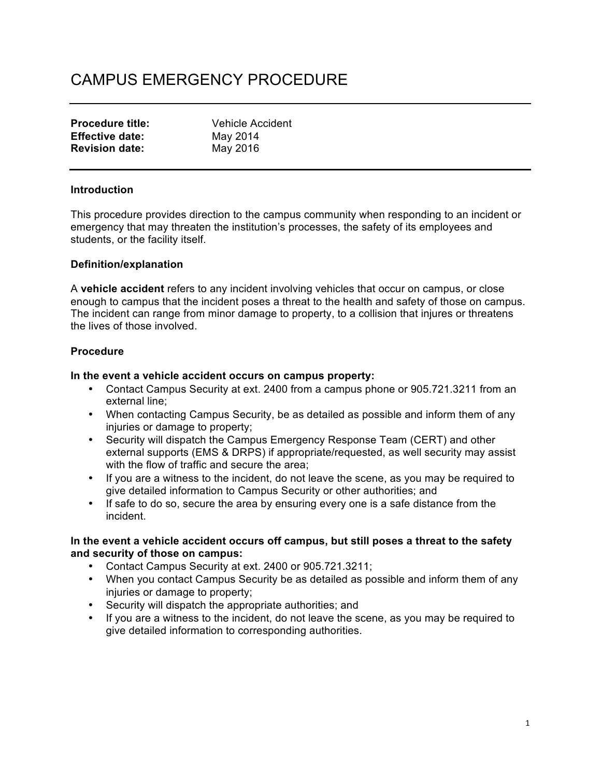# CAMPUS EMERGENCY PROCEDURE

| <b>Procedure title:</b> | <b>Vehicle Accident</b> |
|-------------------------|-------------------------|
| <b>Effective date:</b>  | May 2014                |
| <b>Revision date:</b>   | May 2016                |

## **Introduction**

This procedure provides direction to the campus community when responding to an incident or emergency that may threaten the institution's processes, the safety of its employees and students, or the facility itself.

#### **Definition/explanation**

A **vehicle accident** refers to any incident involving vehicles that occur on campus, or close enough to campus that the incident poses a threat to the health and safety of those on campus. The incident can range from minor damage to property, to a collision that injures or threatens the lives of those involved.

# **Procedure**

#### **In the event a vehicle accident occurs on campus property:**

- Contact Campus Security at ext. 2400 from a campus phone or 905.721.3211 from an external line;
- When contacting Campus Security, be as detailed as possible and inform them of any injuries or damage to property;
- Security will dispatch the Campus Emergency Response Team (CERT) and other external supports (EMS & DRPS) if appropriate/requested, as well security may assist with the flow of traffic and secure the area;
- If you are a witness to the incident, do not leave the scene, as you may be required to give detailed information to Campus Security or other authorities; and
- If safe to do so, secure the area by ensuring every one is a safe distance from the incident.

#### **In the event a vehicle accident occurs off campus, but still poses a threat to the safety and security of those on campus:**

- Contact Campus Security at ext. 2400 or 905.721.3211;
- When you contact Campus Security be as detailed as possible and inform them of any injuries or damage to property;
- Security will dispatch the appropriate authorities; and
- If you are a witness to the incident, do not leave the scene, as you may be required to give detailed information to corresponding authorities.